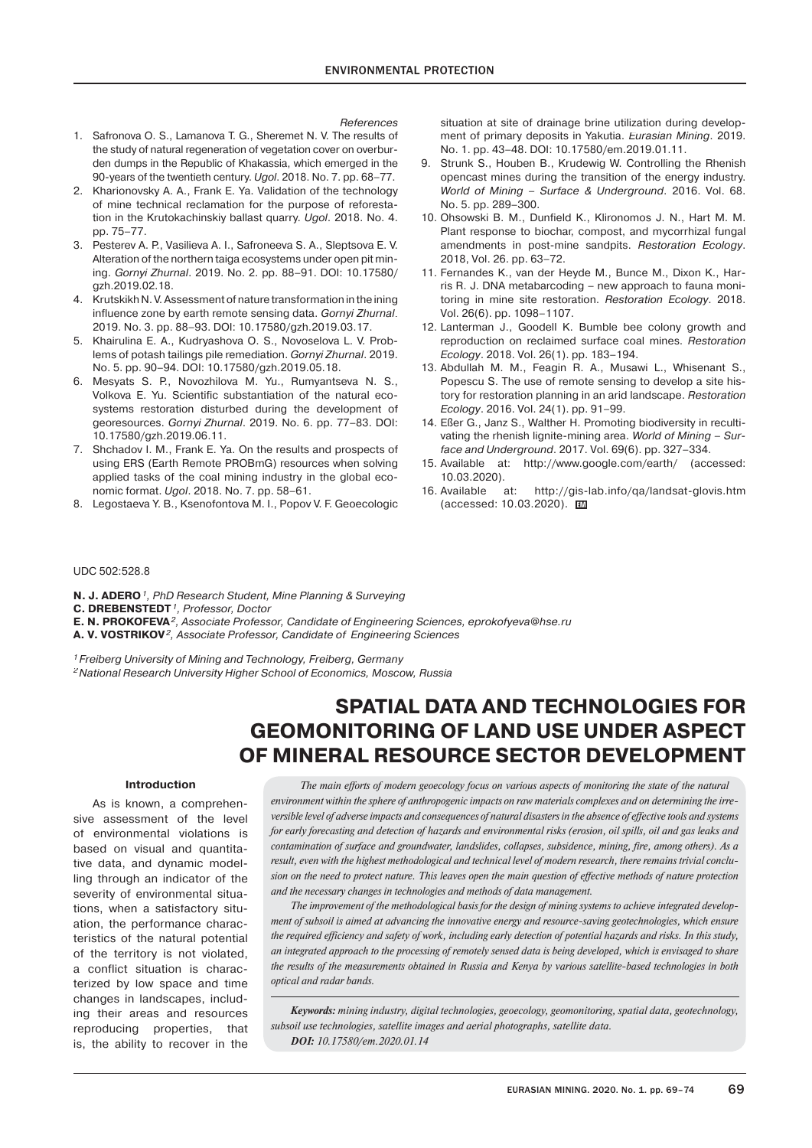#### *References*

- 1. Safronova O. S., Lamanova T. G., Sheremet N. V. The results of the study of natural regeneration of vegetation cover on overburden dumps in the Republic of Khakassia, which emerged in the 90-years of the twentieth century. *Ugol*. 2018. No. 7. pp. 68–77.
- 2. Kharionovsky A. A., Frank E. Ya. Validation of the technology of mine technical reclamation for the purpose of reforestation in the Krutokachinskiy ballast quarry. *Ugol*. 2018. No. 4. pp. 75–77.
- 3. Pesterev A. P., Vasilieva A. I., Safroneeva S. A., Sleptsova E. V. Alteration of the northern taiga ecosystems under open pit mining. *Gornyi Zhurnal*. 2019. No. 2. pp. 88–91. DOI: 10.17580/ gzh.2019.02.18.
- 4. Krutskikh N. V. Assessment of nature transformation in the ining influence zone by earth remote sensing data. *Gornyi Zhurnal*. 2019. No. 3. pp. 88–93. DOI: 10.17580/gzh.2019.03.17.
- 5. Khairulina E. A., Kudryashova O. S., Novoselova L. V. Problems of potash tailings pile remediation. *Gornyi Zhurnal*. 2019. No. 5. pp. 90–94. DOI: 10.17580/gzh.2019.05.18.
- 6. Mesyats S. P., Novozhilova M. Yu., Rumyantseva N. S., Volkova E. Yu. Scientific substantiation of the natural ecosystems restoration disturbed during the development of georesources. *Gornyi Zhurnal*. 2019. No. 6. pp. 77–83. DOI: 10.17580/gzh.2019.06.11.
- 7. Shchadov I. M., Frank E. Ya. On the results and prospects of using ERS (Earth Remote PROBmG) resources when solving applied tasks of the coal mining industry in the global economic format. *Ugol*. 2018. No. 7. pp. 58–61.
- 8. Legostaeva Y. B., Ksenofontova M. I., Popov V. F. Geoecologic

situation at site of drainage brine utilization during development of primary deposits in Yakutia. *Eurasian Mining*. 2019. No. 1. pp. 43–48. DOI: 10.17580/em.2019.01.11.

- 9. Strunk S., Houben B., Krudewig W. Controlling the Rhenish opencast mines during the transition of the energy industry. *World of Mining – Surface & Underground*. 2016. Vol. 68. No. 5. pp. 289–300.
- 10. Ohsowski B. M., Dunfield K., Klironomos J. N., Hart M. M. Plant response to biochar, compost, and mycorrhizal fungal amendments in post-mine sandpits. *Restoration Ecology*. 2018, Vol. 26. pp. 63–72.
- 11. Fernandes K., van der Heyde M., Bunce M., Dixon K., Harris R. J. DNA metabarcoding – new approach to fauna monitoring in mine site restoration. *Restoration Ecology*. 2018. Vol. 26(6). pp. 1098–1107.
- 12. Lanterman J., Goodell K. Bumble bee colony growth and reproduction on reclaimed surface coal mines. *Restoration Ecology*. 2018. Vol. 26(1). pp. 183–194.
- 13. Abdullah M. M., Feagin R. A., Musawi L., Whisenant S., Popescu S. The use of remote sensing to develop a site history for restoration planning in an arid landscape. *Restoration Ecology*. 2016. Vol. 24(1). pp. 91–99.
- 14. Eßer G., Janz S., Walther H. Promoting biodiversity in recultivating the rhenish lignite-mining area. *World of Mining – Surface and Underground*. 2017. Vol. 69(6). pp. 327–334.
- 15. Available at: http://www.google.com/earth/ (accessed: 10.03.2020).
- 16. Available at: http://gis-lab.info/qa/landsat-glovis.htm (accessed: 10.03.2020). **EM**

### UDC 502:528.8

- **N. J. ADERO***1, PhD Research Student, Mine Planning & Surveying*
- **C. DREBENSTEDT***1, Professor, Doctor*
- **E. N. PROKOFEVA***2, Associate Professor, Candidate of Engineering Sciences, eprokofyeva@hse.ru*

**A. V. VOSTRIKOV***2, Associate Professor, Candidate of Engineering Sciences*

*1 Freiberg University of Mining and Technology, Freiberg, Germany*

*2 National Research University Higher School of Economics, Moscow, Russia*

# **SPATIAL DATA AND TECHNOLOGIES FOR GEOMONITORING OF LAND USE UNDER ASPECT OF MINERAL RESOURCE SECTOR DEVELOPMENT**

#### **Introduction**

As is known, a comprehensive assessment of the level of environmental violations is based on visual and quantitative data, and dynamic modelling through an indicator of the severity of environmental situations, when a satisfactory situation, the performance characteristics of the natural potential of the territory is not violated, a conflict situation is characterized by low space and time changes in landscapes, including their areas and resources reproducing properties, that is, the ability to recover in the

*The main efforts of modern geoecology focus on various aspects of monitoring the state of the natural environment within the sphere of anthropogenic impacts on raw materials complexes and on determining the irreversible level of adverse impacts and consequences of natural disasters in the absence of effective tools and systems* for early forecasting and detection of hazards and environmental risks (erosion, oil spills, oil and gas leaks and *contamination of surface and groundwater, landslides, collapses, subsidence, mining, fire, among others). As a result, even with the highest methodological and technical level of modern research, there remains trivial conclusion on the need to protect nature. This leaves open the main question of effective methods of nature protection and the necessary changes in technologies and methods of data management.*

*The improvement of the methodological basis for the design of mining systems to achieve integrated development of subsoil is aimed at advancing the innovative energy and resource-saving geotechnologies, which ensure the required efficiency and safety of work, including early detection of potential hazards and risks. In this study, an integrated approach to the processing of remotely sensed data is being developed, which is envisaged to share the results of the measurements obtained in Russia and Kenya by various satellite-based technologies in both optical and radar bands.*

*Keywords: mining industry, digital technologies, geoecology, geomonitoring, spatial data, geotechnology, subsoil use technologies, satellite images and aerial photographs, satellite data. DOI: 10.17580/em.2020.01.14*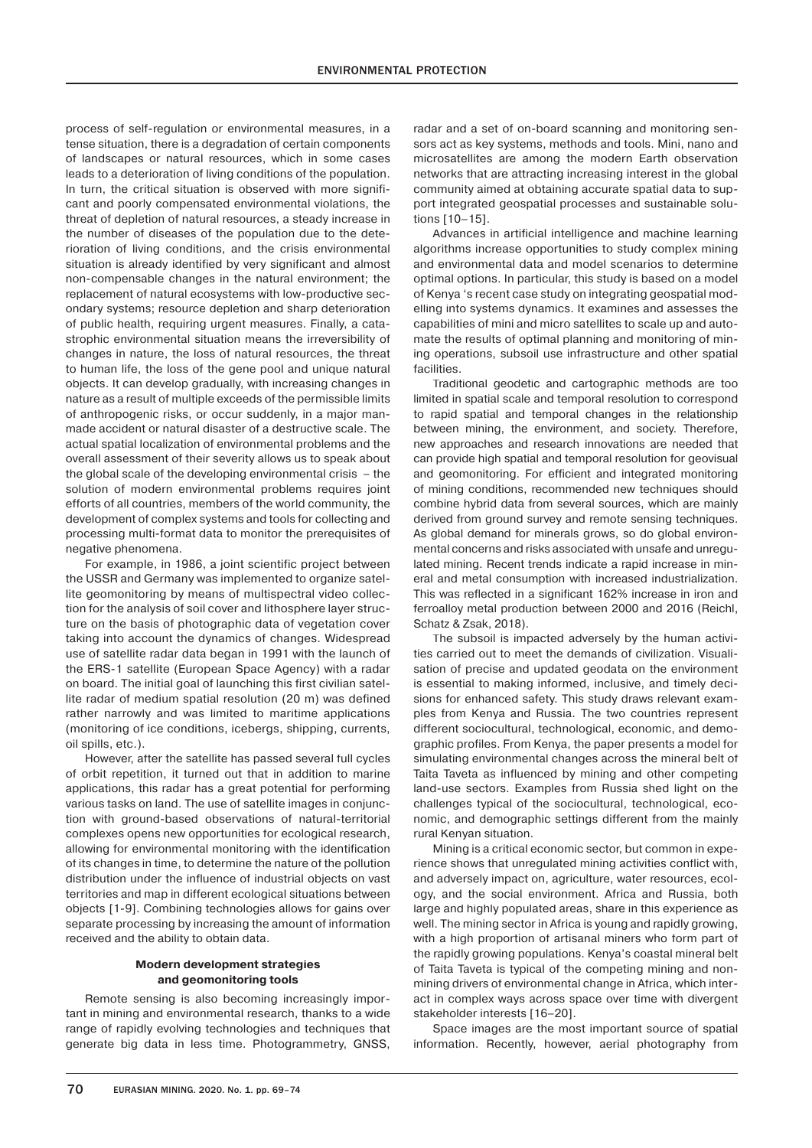process of self-regulation or environmental measures, in a tense situation, there is a degradation of certain components of landscapes or natural resources, which in some cases leads to a deterioration of living conditions of the population. In turn, the critical situation is observed with more significant and poorly compensated environmental violations, the threat of depletion of natural resources, a steady increase in the number of diseases of the population due to the deterioration of living conditions, and the crisis environmental situation is already identified by very significant and almost non-compensable changes in the natural environment; the replacement of natural ecosystems with low-productive secondary systems; resource depletion and sharp deterioration of public health, requiring urgent measures. Finally, a catastrophic environmental situation means the irreversibility of changes in nature, the loss of natural resources, the threat to human life, the loss of the gene pool and unique natural objects. It can develop gradually, with increasing changes in nature as a result of multiple exceeds of the permissible limits of anthropogenic risks, or occur suddenly, in a major manmade accident or natural disaster of a destructive scale. The actual spatial localization of environmental problems and the overall assessment of their severity allows us to speak about the global scale of the developing environmental crisis – the solution of modern environmental problems requires joint efforts of all countries, members of the world community, the development of complex systems and tools for collecting and processing multi-format data to monitor the prerequisites of negative phenomena.

For example, in 1986, a joint scientific project between the USSR and Germany was implemented to organize satellite geomonitoring by means of multispectral video collection for the analysis of soil cover and lithosphere layer structure on the basis of photographic data of vegetation cover taking into account the dynamics of changes. Widespread use of satellite radar data began in 1991 with the launch of the ERS-1 satellite (European Space Agency) with a radar on board. The initial goal of launching this first civilian satellite radar of medium spatial resolution (20 m) was defined rather narrowly and was limited to maritime applications (monitoring of ice conditions, icebergs, shipping, currents, oil spills, etc.).

However, after the satellite has passed several full cycles of orbit repetition, it turned out that in addition to marine applications, this radar has a great potential for performing various tasks on land. The use of satellite images in conjunction with ground-based observations of natural-territorial complexes opens new opportunities for ecological research, allowing for environmental monitoring with the identification of its changes in time, to determine the nature of the pollution distribution under the influence of industrial objects on vast territories and map in different ecological situations between objects [1-9]. Combining technologies allows for gains over separate processing by increasing the amount of information received and the ability to obtain data.

## **Modern development strategies and geomonitoring tools**

Remote sensing is also becoming increasingly important in mining and environmental research, thanks to a wide range of rapidly evolving technologies and techniques that generate big data in less time. Photogrammetry, GNSS,

radar and a set of on-board scanning and monitoring sensors act as key systems, methods and tools. Mini, nano and microsatellites are among the modern Earth observation networks that are attracting increasing interest in the global community aimed at obtaining accurate spatial data to support integrated geospatial processes and sustainable solutions [10–15].

Advances in artificial intelligence and machine learning algorithms increase opportunities to study complex mining and environmental data and model scenarios to determine optimal options. In particular, this study is based on a model of Kenya 's recent case study on integrating geospatial modelling into systems dynamics. It examines and assesses the capabilities of mini and micro satellites to scale up and automate the results of optimal planning and monitoring of mining operations, subsoil use infrastructure and other spatial facilities.

Traditional geodetic and cartographic methods are too limited in spatial scale and temporal resolution to correspond to rapid spatial and temporal changes in the relationship between mining, the environment, and society. Therefore, new approaches and research innovations are needed that can provide high spatial and temporal resolution for geovisual and geomonitoring. For efficient and integrated monitoring of mining conditions, recommended new techniques should combine hybrid data from several sources, which are mainly derived from ground survey and remote sensing techniques. As global demand for minerals grows, so do global environmental concerns and risks associated with unsafe and unregulated mining. Recent trends indicate a rapid increase in mineral and metal consumption with increased industrialization. This was reflected in a significant 162% increase in iron and ferroalloy metal production between 2000 and 2016 (Reichl, Schatz & Zsak, 2018).

The subsoil is impacted adversely by the human activities carried out to meet the demands of civilization. Visualisation of precise and updated geodata on the environment is essential to making informed, inclusive, and timely decisions for enhanced safety. This study draws relevant examples from Kenya and Russia. The two countries represent different sociocultural, technological, economic, and demographic profiles. From Kenya, the paper presents a model for simulating environmental changes across the mineral belt of Taita Taveta as influenced by mining and other competing land-use sectors. Examples from Russia shed light on the challenges typical of the sociocultural, technological, economic, and demographic settings different from the mainly rural Kenyan situation.

Mining is a critical economic sector, but common in experience shows that unregulated mining activities conflict with, and adversely impact on, agriculture, water resources, ecology, and the social environment. Africa and Russia, both large and highly populated areas, share in this experience as well. The mining sector in Africa is young and rapidly growing, with a high proportion of artisanal miners who form part of the rapidly growing populations. Kenya's coastal mineral belt of Taita Taveta is typical of the competing mining and nonmining drivers of environmental change in Africa, which interact in complex ways across space over time with divergent stakeholder interests [16–20].

Space images are the most important source of spatial information. Recently, however, aerial photography from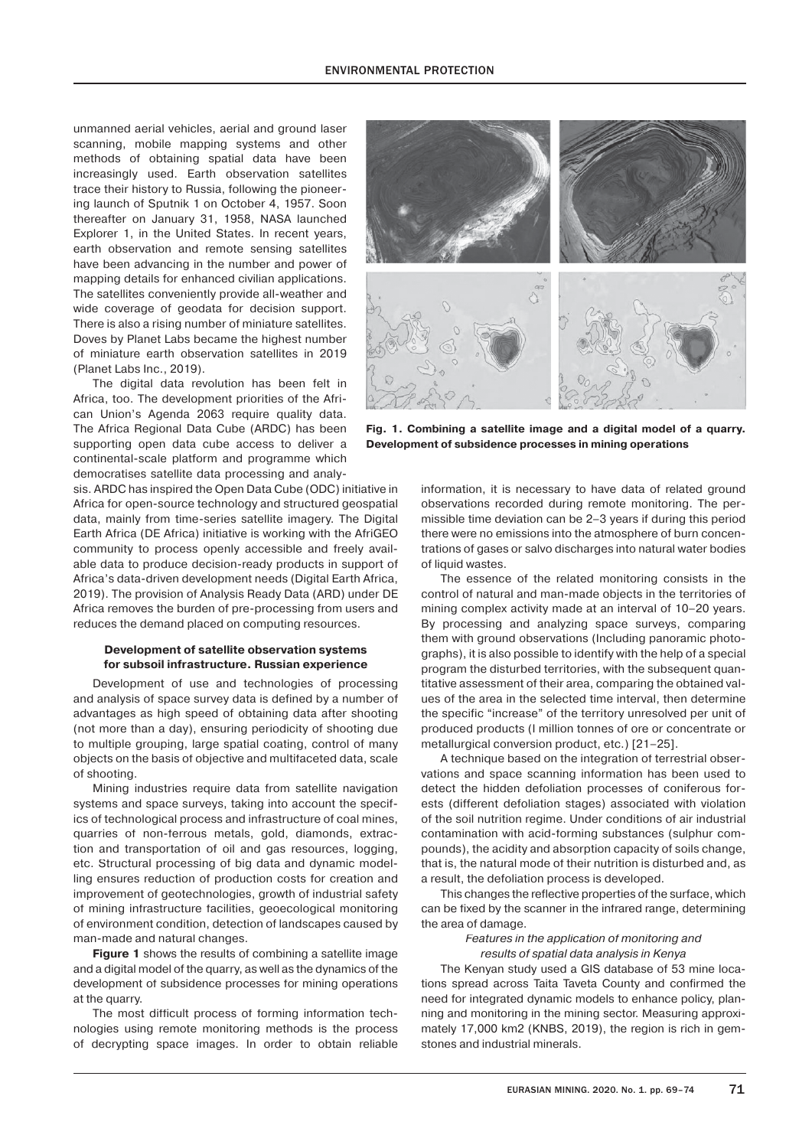unmanned aerial vehicles, aerial and ground laser scanning, mobile mapping systems and other methods of obtaining spatial data have been increasingly used. Earth observation satellites trace their history to Russia, following the pioneering launch of Sputnik 1 on October 4, 1957. Soon thereafter on January 31, 1958, NASA launched Explorer 1, in the United States. In recent years, earth observation and remote sensing satellites have been advancing in the number and power of mapping details for enhanced civilian applications. The satellites conveniently provide all-weather and wide coverage of geodata for decision support. There is also a rising number of miniature satellites. Doves by Planet Labs became the highest number of miniature earth observation satellites in 2019 (Planet Labs Inc., 2019).

The digital data revolution has been felt in Africa, too. The development priorities of the African Union's Agenda 2063 require quality data. The Africa Regional Data Cube (ARDC) has been supporting open data cube access to deliver a continental-scale platform and programme which democratises satellite data processing and analy-

sis. ARDC has inspired the Open Data Cube (ODC) initiative in Africa for open-source technology and structured geospatial data, mainly from time-series satellite imagery. The Digital Earth Africa (DE Africa) initiative is working with the AfriGEO community to process openly accessible and freely available data to produce decision-ready products in support of Africa's data-driven development needs (Digital Earth Africa, 2019). The provision of Analysis Ready Data (ARD) under DE Africa removes the burden of pre-processing from users and reduces the demand placed on computing resources.

# **Development of satellite observation systems for subsoil infrastructure. Russian experience**

Development of use and technologies of processing and analysis of space survey data is defined by a number of advantages as high speed of obtaining data after shooting (not more than a day), ensuring periodicity of shooting due to multiple grouping, large spatial coating, control of many objects on the basis of objective and multifaceted data, scale of shooting.

Mining industries require data from satellite navigation systems and space surveys, taking into account the specifics of technological process and infrastructure of coal mines, quarries of non-ferrous metals, gold, diamonds, extraction and transportation of oil and gas resources, logging, etc. Structural processing of big data and dynamic modelling ensures reduction of production costs for creation and improvement of geotechnologies, growth of industrial safety of mining infrastructure facilities, geoecological monitoring of environment condition, detection of landscapes caused by man-made and natural changes.

**Figure 1** shows the results of combining a satellite image and a digital model of the quarry, as well as the dynamics of the development of subsidence processes for mining operations at the quarry.

The most difficult process of forming information technologies using remote monitoring methods is the process of decrypting space images. In order to obtain reliable



**Fig. 1. Combining a satellite image and a digital model of a quarry. Development of subsidence processes in mining operations**

information, it is necessary to have data of related ground observations recorded during remote monitoring. The permissible time deviation can be 2–3 years if during this period there were no emissions into the atmosphere of burn concentrations of gases or salvo discharges into natural water bodies of liquid wastes.

The essence of the related monitoring consists in the control of natural and man-made objects in the territories of mining complex activity made at an interval of 10–20 years. By processing and analyzing space surveys, comparing them with ground observations (Including panoramic photographs), it is also possible to identify with the help of a special program the disturbed territories, with the subsequent quantitative assessment of their area, comparing the obtained values of the area in the selected time interval, then determine the specific "increase" of the territory unresolved per unit of produced products (I million tonnes of ore or concentrate or metallurgical conversion product, etc.) [21–25].

A technique based on the integration of terrestrial observations and space scanning information has been used to detect the hidden defoliation processes of coniferous forests (different defoliation stages) associated with violation of the soil nutrition regime. Under conditions of air industrial contamination with acid-forming substances (sulphur compounds), the acidity and absorption capacity of soils change, that is, the natural mode of their nutrition is disturbed and, as a result, the defoliation process is developed.

This changes the reflective properties of the surface, which can be fixed by the scanner in the infrared range, determining the area of damage.

## *Features in the application of monitoring and results of spatial data analysis in Kenya*

The Kenyan study used a GIS database of 53 mine locations spread across Taita Taveta County and confirmed the need for integrated dynamic models to enhance policy, planning and monitoring in the mining sector. Measuring approximately 17,000 km2 (KNBS, 2019), the region is rich in gemstones and industrial minerals.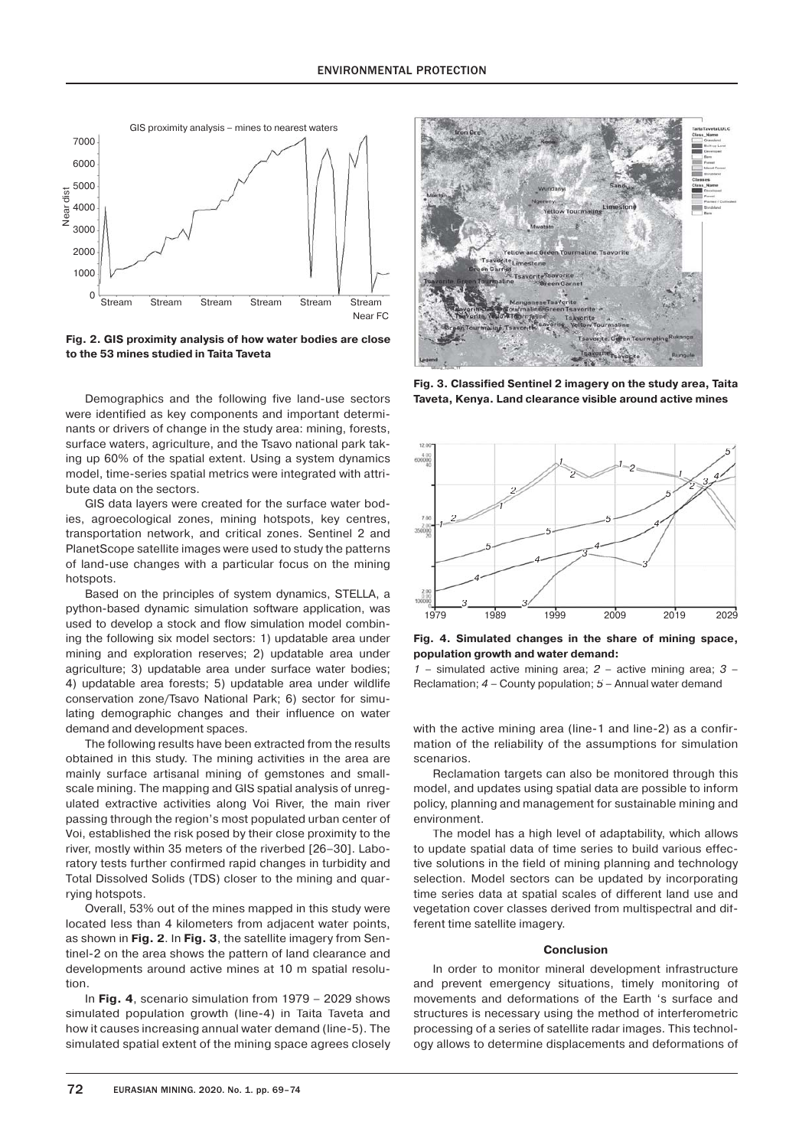

**Fig. 2. GIS proximity analysis of how water bodies are close to the 53 mines studied in Taita Taveta**

Demographics and the following five land-use sectors were identified as key components and important determinants or drivers of change in the study area: mining, forests, surface waters, agriculture, and the Tsavo national park taking up 60% of the spatial extent. Using a system dynamics model, time-series spatial metrics were integrated with attribute data on the sectors.

GIS data layers were created for the surface water bodies, agroecological zones, mining hotspots, key centres, transportation network, and critical zones. Sentinel 2 and PlanetScope satellite images were used to study the patterns of land-use changes with a particular focus on the mining hotspots

Based on the principles of system dynamics, STELLA, a python-based dynamic simulation software application, was used to develop a stock and flow simulation model combining the following six model sectors: 1) updatable area under mining and exploration reserves; 2) updatable area under agriculture; 3) updatable area under surface water bodies; 4) updatable area forests; 5) updatable area under wildlife conservation zone/Tsavo National Park; 6) sector for simulating demographic changes and their influence on water demand and development spaces.

The following results have been extracted from the results obtained in this study. The mining activities in the area are mainly surface artisanal mining of gemstones and smallscale mining. The mapping and GIS spatial analysis of unregulated extractive activities along Voi River, the main river passing through the region's most populated urban center of Voi, established the risk posed by their close proximity to the river, mostly within 35 meters of the riverbed [26–30]. Laboratory tests further confirmed rapid changes in turbidity and Total Dissolved Solids (TDS) closer to the mining and quarrying hotspots.

Overall, 53% out of the mines mapped in this study were located less than 4 kilometers from adjacent water points, as shown in **Fig. 2**. In **Fig. 3**, the satellite imagery from Sentinel-2 on the area shows the pattern of land clearance and developments around active mines at 10 m spatial resolution.

In **Fig. 4**, scenario simulation from 1979 – 2029 shows simulated population growth (line-4) in Taita Taveta and how it causes increasing annual water demand (line-5). The simulated spatial extent of the mining space agrees closely



**Fig. 3. Classified Sentinel 2 imagery on the study area, Taita Taveta, Kenya. Land clearance visible around active mines**



**Fig. 4. Simulated changes in the share of mining space, population growth and water demand:**

*1* – simulated active mining area; *2* – active mining area; *3* – Reclamation; *4* – County population; *5* – Annual water demand

with the active mining area (line-1 and line-2) as a confirmation of the reliability of the assumptions for simulation scenarios.

Reclamation targets can also be monitored through this model, and updates using spatial data are possible to inform policy, planning and management for sustainable mining and environment.

The model has a high level of adaptability, which allows to update spatial data of time series to build various effective solutions in the field of mining planning and technology selection. Model sectors can be updated by incorporating time series data at spatial scales of different land use and vegetation cover classes derived from multispectral and different time satellite imagery.

### **Conclusion**

In order to monitor mineral development infrastructure and prevent emergency situations, timely monitoring of movements and deformations of the Earth 's surface and structures is necessary using the method of interferometric processing of a series of satellite radar images. This technology allows to determine displacements and deformations of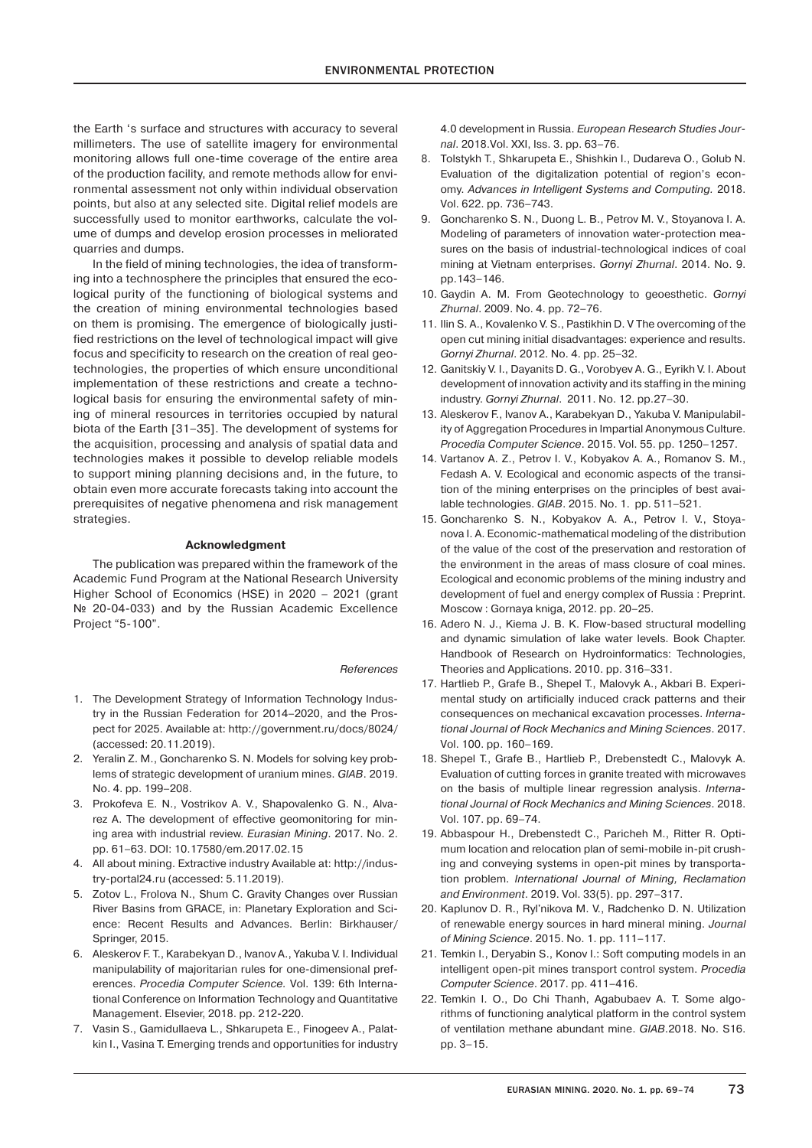the Earth 's surface and structures with accuracy to several millimeters. The use of satellite imagery for environmental monitoring allows full one-time coverage of the entire area of the production facility, and remote methods allow for environmental assessment not only within individual observation points, but also at any selected site. Digital relief models are successfully used to monitor earthworks, calculate the volume of dumps and develop erosion processes in meliorated quarries and dumps.

In the field of mining technologies, the idea of transforming into a technosphere the principles that ensured the ecological purity of the functioning of biological systems and the creation of mining environmental technologies based on them is promising. The emergence of biologically justified restrictions on the level of technological impact will give focus and specificity to research on the creation of real geotechnologies, the properties of which ensure unconditional implementation of these restrictions and create a technological basis for ensuring the environmental safety of mining of mineral resources in territories occupied by natural biota of the Earth [31–35]. The development of systems for the acquisition, processing and analysis of spatial data and technologies makes it possible to develop reliable models to support mining planning decisions and, in the future, to obtain even more accurate forecasts taking into account the prerequisites of negative phenomena and risk management strategies.

#### **Acknowledgment**

The publication was prepared within the framework of the Academic Fund Program at the National Research University Higher School of Economics (HSE) in 2020 – 2021 (grant № 20-04-033) and by the Russian Academic Excellence Project "5-100".

#### *References*

- 1. The Development Strategy of Information Technology Industry in the Russian Federation for 2014–2020, and the Prospect for 2025. Available at: http://government.ru/docs/8024/ (accessed: 20.11.2019).
- 2. Yeralin Z. M., Goncharenko S. N. Models for solving key problems of strategic development of uranium mines. *GIAB*. 2019. No. 4. pp. 199–208.
- 3. Prokofeva E. N., Vostrikov A. V., Shapovalenko G. N., Alvarez A. The development of effective geomonitoring for mining area with industrial review. *Eurasian Mining*. 2017. No. 2. pp. 61–63. DOI: 10.17580/em.2017.02.15
- 4. All about mining. Extractive industry Available at: http://industry-portal24.ru (accessed: 5.11.2019).
- 5. Zotov L., Frolova N., Shum C. Gravity Changes over Russian River Basins from GRACE, in: Planetary Exploration and Science: Recent Results and Advances. Berlin: Birkhauser/ Springer, 2015.
- 6. Aleskerov F. T., Karabekyan D., Ivanov A., Yakuba V. I. Individual manipulability of majoritarian rules for one-dimensional preferences. *Procedia Computer Science.* Vol. 139: 6th International Conference on Information Technology and Quantitative Management. Elsevier, 2018. pp. 212-220.
- 7. Vasin S., Gamidullaeva L., Shkarupeta E., Finogeev A., Palatkin I., Vasina T. Emerging trends and opportunities for industry

4.0 development in Russia. *European Research Studies Journal*. 2018.Vol. XXI, Iss. 3. pp. 63–76.

- 8. Tolstykh T., Shkarupeta E., Shishkin I., Dudareva O., Golub N. Evaluation of the digitalization potential of region's economy. *Advances in Intelligent Systems and Computing.* 2018. Vol. 622. pp. 736–743.
- 9. Goncharenko S. N., Duong L. B., Petrov M. V., Stoyanova I. A. Modeling of parameters of innovation water-protection measures on the basis of industrial-technological indices of coal mining at Vietnam enterprises. *Gornyi Zhurnal*. 2014. No. 9. pp.143–146.
- 10. Gaydin A. M. From Geotechnology to geoesthetic. *Gornyi Zhurnal*. 2009. No. 4. pp. 72–76.
- 11. Ilin S. A., Kovalenko V. S., Pastikhin D. V The overcoming of the open cut mining initial disadvantages: experience and results. *Gornyi Zhurnal*. 2012. No. 4. pp. 25–32.
- 12. Ganitskiy V. I., Dayanits D. G., Vorobyev A. G., Eyrikh V. I. About development of innovation activity and its staffing in the mining industry. *Gornyi Zhurnal*. 2011. No. 12. pp.27–30.
- 13. Aleskerov F., Ivanov A., Karabekyan D., Yakuba V. Manipulability of Aggregation Procedures in Impartial Anonymous Culture. *Procedia Computer Science*. 2015. Vol. 55. pp. 1250–1257.
- 14. Vartanov A. Z., Petrov I. V., Kobyakov A. A., Romanov S. M., Fedash A. V. Ecological and economic aspects of the transition of the mining enterprises on the principles of best available technologies. *GIAB*. 2015. No. 1. pp. 511–521.
- 15. Goncharenko S. N., Kobyakov A. A., Petrov I. V., Stoyanova I. A. Economic-mathematical modeling of the distribution of the value of the cost of the preservation and restoration of the environment in the areas of mass closure of coal mines. Ecological and economic problems of the mining industry and development of fuel and energy complex of Russia : Preprint. Moscow : Gornaya kniga, 2012. pp. 20–25.
- 16. Adero N. J., Kiema J. B. K. Flow-based structural modelling and dynamic simulation of lake water levels. Book Chapter. Handbook of Research on Hydroinformatics: Technologies, Theories and Applications. 2010. pp. 316–331.
- 17. Hartlieb P., Grafe B., Shepel T., Malovyk A., Akbari B. Experimental study on artificially induced crack patterns and their consequences on mechanical excavation processes. *International Journal of Rock Mechanics and Mining Sciences*. 2017. Vol. 100. pp. 160–169.
- 18. Shepel T., Grafe B., Hartlieb P., Drebenstedt C., Malovyk A. Evaluation of cutting forces in granite treated with microwaves on the basis of multiple linear regression analysis. *International Journal of Rock Mechanics and Mining Sciences*. 2018. Vol. 107. pp. 69–74.
- 19. Abbaspour H., Drebenstedt C., Paricheh M., Ritter R. Optimum location and relocation plan of semi-mobile in-pit crushing and conveying systems in open-pit mines by transportation problem. *International Journal of Mining, Reclamation and Environment*. 2019. Vol. 33(5). pp. 297–317.
- 20. Kaplunov D. R., Ryl'nikova M. V., Radchenko D. N. Utilization of renewable energy sources in hard mineral mining. *Journal of Mining Science*. 2015. No. 1. pp. 111–117.
- 21. Temkin I., Deryabin S., Konov I.: Soft computing models in an intelligent open-pit mines transport control system. *Procedia Computer Science*. 2017. pp. 411–416.
- 22. Temkin I. O., Do Chi Thanh, Agabubaev A. T. Some algorithms of functioning analytical platform in the control system of ventilation methane abundant mine. *GIAB*.2018. No. S16. pp. 3–15.